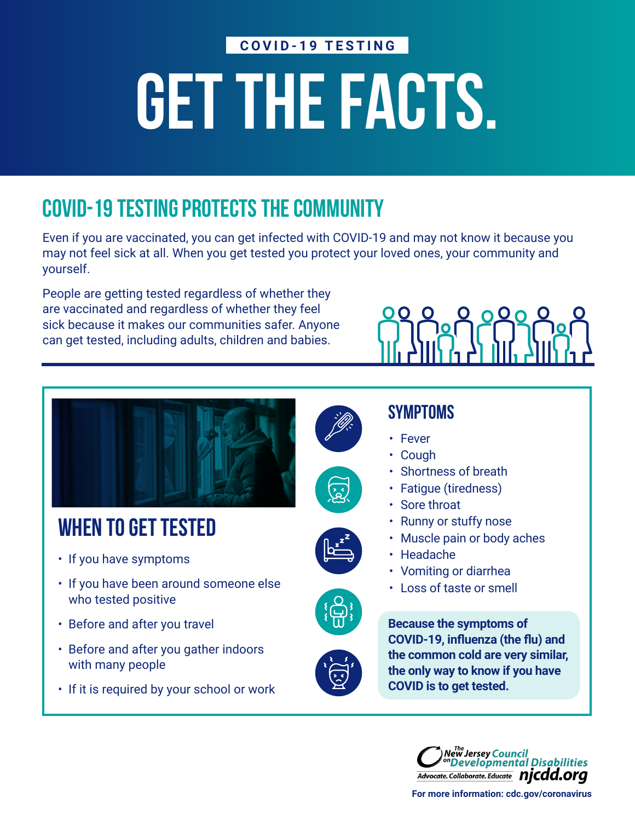#### **COVID-19 TESTING**

# GET THE FACTS.

# COVID-19 TESTING PROTECTS THE COMMUNITY

Even if you are vaccinated, you can get infected with COVID-19 and may not know it because you may not feel sick at all. When you get tested you protect your loved ones, your community and yourself.

People are getting tested regardless of whether they are vaccinated and regardless of whether they feel sick because it makes our communities safer. Anyone can get tested, including adults, children and babies.





# WHEN TO GET TESTED

- If you have symptoms
- If you have been around someone else who tested positive
- Before and after you travel
- Before and after you gather indoors with many people
- If it is required by your school or work











**Because the symptoms of COVID-19, influenza (the flu) and the common cold are very similar, the only way to know if you have COVID is to get tested.**



**[For more information: cdc.gov/coronavirus](cdc.gov/coronavirus)**



- Fever
- Cough
- Shortness of breath
- Fatigue (tiredness)
- Sore throat
- Runny or stuffy nose
- Muscle pain or body aches
- Headache
- Vomiting or diarrhea
- Loss of taste or smell